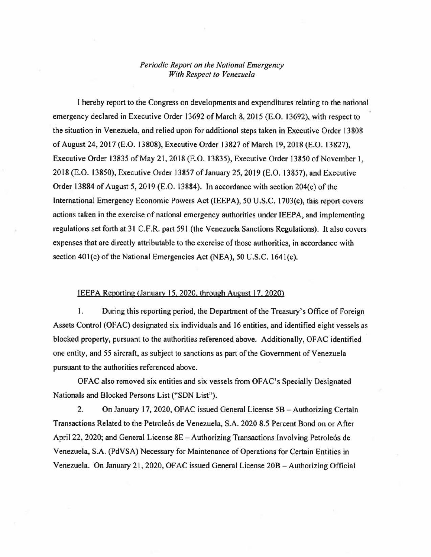## *Periodic Report on the Nationai Emergency With Respect to Venezuela*

I hereby report to the Congress on developments and expenditures relating to the national emergency declared in Executive Order 13692 of March 8, 2015 (E.O. 13692), with respect to the situation in Venezuela, and relied upon for additional steps taken in Executive Order 13808 of August 24, 2017 (E.O. 13808), Executive Order 13827 of March 19, 2018 (E.O. 13827), Executive Order 13835 of May 21, 2018 (E.O. 13835), Executive Order 13850 of November 1, 2018 (E.O. 13850), Executive Order 13857 of January 25, 2019 (E.O. 13857), and Executive Order 13884 of August 5, 2019 (E.O. 13884). In accordance with section  $204(c)$  of the International Emergency Economic Powers Act (IEEPA), 50 U.S.C. 1703 $(c)$ , this report covers actions taken in the exercise of national emergency authorities under IEEPA, and implementing regulations set forth at 31 C.F.R. part 591 (the Venezuela Sanctions Regulations). It also covers expenses that are directly attributable to the exercise of those authorities, in accordance with section 401(c) of the National Emergencies Act (NEA), 50 U.S.C. 1641(c).

## IEEPA Reporting (January 15, 2020, through August 17, 2020)

1. During this reporting period, the Department of the Treasury's Office of Foreign Assets Control (OFAC) designated six individuals and 16 entities, and identified eight vessels as blocked property, pursuant to the authorities referenced above. Additionally, OFAC identified one entity, and 55 aircraft, as subject to sanctions as part of the Government of Venezuela pursuant to the authorities referenced above .

OFAC also removed six entities and six vessels from OFAC's Specially Designated Nationals and Blocked Persons List ("SDN List").

2. On January 17, 2020, OFAC issued General License 5B - Authorizing Certain Transactions Related to the Petrole6s de Venezuela, S.A. 2020 8.5 Percent Bond on or After April 22, 2020; and General License 8E - Authorizing Transactions Involving Petroleós de Venezuela, S.A. (PdVSA) Necessary for Maintenance of Operations for Certain Entities in Venezuela. On January 21, 2020, OFAC issued General License 20B - Authorizing Official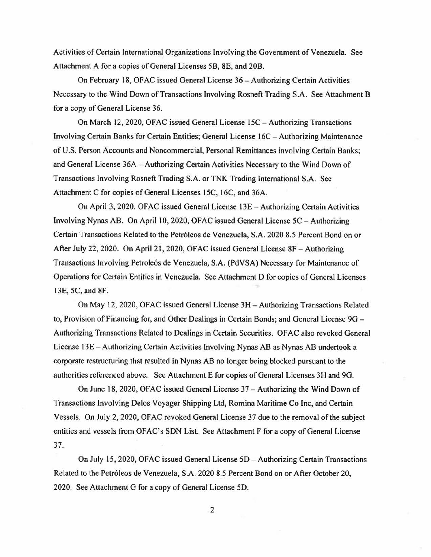Activities of Certain International Organizations Involving the Government of Venezuela. See Attachment A for a copies of General Licenses 5B, 8E, and 20B .

On February 18, OFAC issued General License 36 - Authorizing Certain Activities Necessary to the Wind Down of Transactions Involving Rosneft Trading S.A. See Attachment B for a copy of General License 36 .

On March 12, 2020, OFAC issued General License 15C - Authorizing Transactions Involving Certain Banks for Certain Entities; General License 16C - Authorizing Maintenance of U.S. Person Accounts and Noncommercial, Personal Remittances involving Certain Banks; and General License 36A - Authorizing Certain Activities Necessary to the Wind Down of Transactions Involving Rosneft Trading S.A. or TNK Trading International S.A. See Attachment C for copies of General Licenses 15C, 16C, and 36A .

On April 3, 2020, OFAC issued General License  $13E -$  Authorizing Certain Activities Involving Nynas AB. On April 10, 2020, OFAC issued General License 5C - Authorizing Certain Transactions Related to the Petróleos de Venezuela, S.A. 2020 8.5 Percent Bond on or After July 22, 2020. On April 21, 2020, OFAC issued General License 8F - Authorizing Transactions Involving Petrole6s de Venezuela, S.A. (PdVSA) Necessary for Maintenance of Operations for Certain Entities in Venezuela. See Attachment 0 for copies of General Licenses 13E, 5C, and 8F .

On May 12, 2020, OF AC issued General License 3H - Authorizing Transactions Related to, Provision of Financing for, and Other Dealings in Certain Bonds; and General License  $9G -$ Authorizing Transactions Related to Oealings in Certain Securities. OF AC also revoked General License 13E - Authorizing Certain Activities Involving Nynas AB as Nynas AB undertook a corporate restructuring that resulted in Nynas AB no longer being blocked pursuant to the authorities referenced above. See Attachment E for copies of General Licenses 3H and 9G.

On June 18, 2020, OFAC issued General License 37 - Authorizing the Wind Down of Transactions Involving Delos Voyager Shipping Ltd, Romina Maritime Co Inc, and Certain Vessels. On July 2, 2020, OFAC revoked General License 37 due to the removal of the subject entities and vessels from OFAC's SDN List. See Attachment F for a copy of General License 37.

On July 15, 2020, OFAC issued General License 5D - Authorizing Certain Transactions Related to the Petróleos de Venezuela, S.A. 2020 8.5 Percent Bond on or After October 20, 2020. See Attachment G for a copy of General License 50 .

2